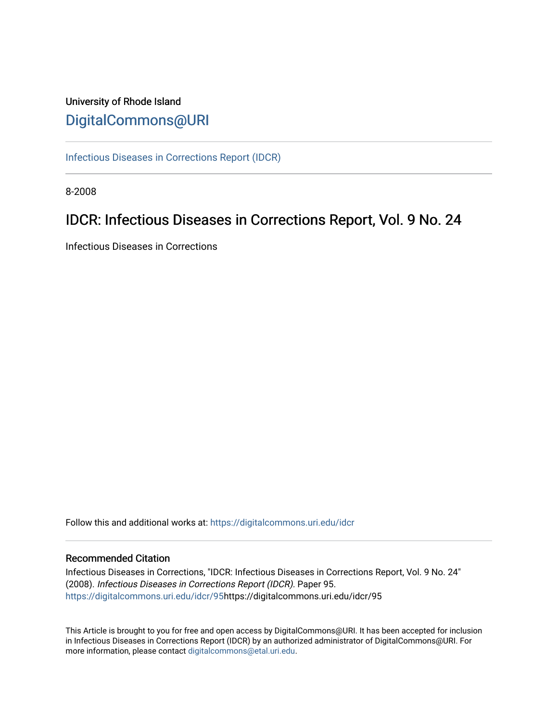# University of Rhode Island [DigitalCommons@URI](https://digitalcommons.uri.edu/)

[Infectious Diseases in Corrections Report \(IDCR\)](https://digitalcommons.uri.edu/idcr)

8-2008

# IDCR: Infectious Diseases in Corrections Report, Vol. 9 No. 24

Infectious Diseases in Corrections

Follow this and additional works at: [https://digitalcommons.uri.edu/idcr](https://digitalcommons.uri.edu/idcr?utm_source=digitalcommons.uri.edu%2Fidcr%2F95&utm_medium=PDF&utm_campaign=PDFCoverPages)

## Recommended Citation

Infectious Diseases in Corrections, "IDCR: Infectious Diseases in Corrections Report, Vol. 9 No. 24" (2008). Infectious Diseases in Corrections Report (IDCR). Paper 95. [https://digitalcommons.uri.edu/idcr/95h](https://digitalcommons.uri.edu/idcr/95?utm_source=digitalcommons.uri.edu%2Fidcr%2F95&utm_medium=PDF&utm_campaign=PDFCoverPages)ttps://digitalcommons.uri.edu/idcr/95

This Article is brought to you for free and open access by DigitalCommons@URI. It has been accepted for inclusion in Infectious Diseases in Corrections Report (IDCR) by an authorized administrator of DigitalCommons@URI. For more information, please contact [digitalcommons@etal.uri.edu.](mailto:digitalcommons@etal.uri.edu)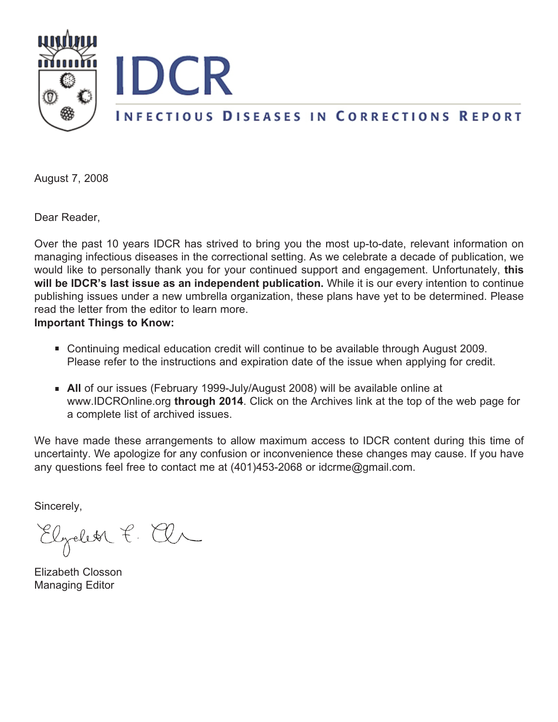

August 7, 2008

Dear Reader,

Over the past 10 years IDCR has strived to bring you the most up-to-date, relevant information on managing infectious diseases in the correctional setting. As we celebrate a decade of publication, we would like to personally thank you for your continued support and engagement. Unfortunately, **this will be IDCR's last issue as an independent publication.** While it is our every intention to continue publishing issues under a new umbrella organization, these plans have yet to be determined. Please read the letter from the editor to learn more.

**Important Things to Know:**

- Continuing medical education credit will continue to be available through August 2009. Please refer to the instructions and expiration date of the issue when applying for credit.
- **All** of our issues (February 1999-July/August 2008) will be available online at www.IDCROnline.org **through 2014**. Click on the Archives link at the top of the web page for a complete list of archived issues.

We have made these arrangements to allow maximum access to IDCR content during this time of uncertainty. We apologize for any confusion or inconvenience these changes may cause. If you have any questions feel free to contact me at (401)453-2068 or idcrme@gmail.com.

Sincerely,

Elzelet P. El

Elizabeth Closson Managing Editor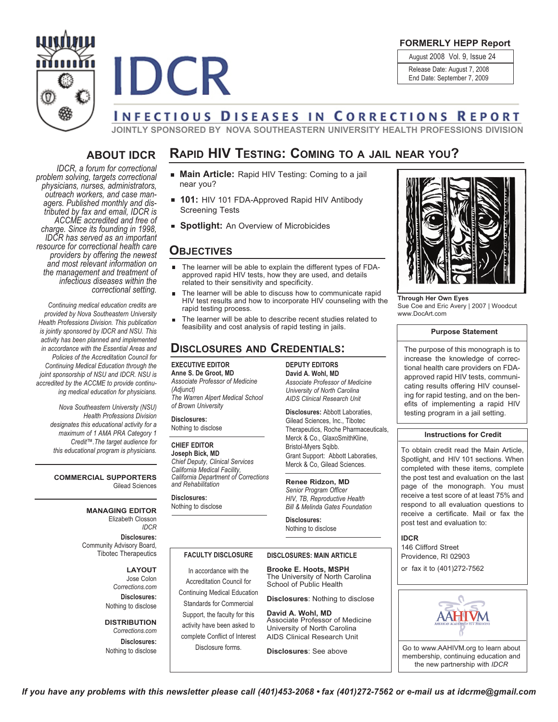

**FORMERLY HEPP Report**

August 2008 Vol. 9, Issue 24

Release Date: August 7, 2008

End Date: September 7, 2009

# **INFECTIOUS DISEASES IN CORRECTIONS REPORT**

**JOINTLY SPONSORED BY NOVA SOUTHEASTERN UNIVERSITY HEALTH PROFESSIONS DIVISION**

**RAPID HIV TESTING: COMING TO A JAIL NEAR YOU?**

## **ABOUT IDCR**

**IDCR** 

*IDCR, a forum for correctional problem solving, targets correctional* outreach workers, and case man-<br>agers. Published monthly and dis-<br>tributed by fax and email, IDCR is *ACCME accredited and free of charge. Since its founding in 1998, IDCR has served as an important resource for correctional health care providers by offering the newest and most relevant information on the management and treatment of infectious diseases within the correctional setting.*

*Continuing medical education credits are provided by Nova Southeastern University Health Professions Division. This publication is jointly sponsored by IDCR and NSU. This activity has been planned and implemented in accordance with the Essential Areas and Policies of the Accreditation Council for Continuing Medical Education through the joint sponsorship of NSU and IDCR. NSU is accredited by the ACCME to provide continuing medical education for physicians.*

> *Nova Southeastern University (NSU) Health Professions Division designates this educational activity for a maximum of 1 AMA PRA Category 1 Credit™.The target audience for this educational program is physicians.*

**COMMERCIAL SUPPORTERS** Gilead Sciences

> **MANAGING EDITOR** Elizabeth Closson *IDCR* **Disclosures:** Community Advisory Board, Tibotec Therapeutics

> > **LAYOUT** Jose Colon *Corrections.com* **Disclosures:** Nothing to disclose

**DISTRIBUTION** *Corrections.com*

**Disclosures:** Nothing to disclose

- **Main Article:** Rapid HIV Testing: Coming to a jail near you?
- **101:** HIV 101 FDA-Approved Rapid HIV Antibody Screening Tests
- **Spotlight:** An Overview of Microbicides

## **OBJECTIVES**

- The learner will be able to explain the different types of FDAapproved rapid HIV tests, how they are used, and details related to their sensitivity and specificity.
- The learner will be able to discuss how to communicate rapid HIV test results and how to incorporate HIV counseling with the rapid testing process.
- The learner will be able to describe recent studies related to feasibility and cost analysis of rapid testing in jails.

## **DISCLOSURES AND CREDENTIALS:**

**EXECUTIVE EDITOR Anne S. De Groot, MD** *Associate Professor of Medicine (Adjunct) The Warren Alpert Medical School of Brown University*

**Disclosures:** Nothing to disclose

#### **CHIEF EDITOR**

**Joseph Bick, MD** *Chief Deputy, Clinical Services California Medical Facility, California Department of Corrections and Rehabilitation*

**Disclosures:** Nothing to disclose

**DEPUTY EDITORS David A. Wohl, MD** *Associate Professor of Medicine University of North Carolina*

*AIDS Clinical Research Unit*

**Disclosures:** Abbott Laboraties, Gilead Sciences, Inc., Tibotec Therapeutics, Roche Pharmaceuticals, Merck & Co., GlaxoSmithKline, Bristol-Myers Sqibb. Grant Support: Abbott Laboraties, Merck & Co, Gilead Sciences.

## **Renee Ridzon, MD**

*Senior Program Officer HIV, TB, Reproductive Health Bill & Melinda Gates Foundation*

**Disclosures:** Nothing to disclose

#### **FACULTY DISCLOSURE**

In accordance with the Accreditation Council for Continuing Medical Education Standards for Commercial Support, the faculty for this activity have been asked to complete Conflict of Interest Disclosure forms.

**Brooke E. Hoots, MSPH DISCLOSURES: MAIN ARTICLE**

The University of North Carolina School of Public Health

**Disclosures**: Nothing to disclose

**David A. Wohl, MD** Associate Professor of Medicine University of North Carolina AIDS Clinical Research Unit

**Disclosures**: See above



**Through Her Own Eyes** Sue Coe and Eric Avery | 2007 | Woodcut www.DocArt.com

#### **Purpose Statement**

The purpose of this monograph is to increase the knowledge of correctional health care providers on FDAapproved rapid HIV tests, communicating results offering HIV counseling for rapid testing, and on the benefits of implementing a rapid HIV testing program in a jail setting.

#### **Instructions for Credit**

To obtain credit read the Main Article, Spotlight, and HIV 101 sections. When completed with these items, complete the post test and evaluation on the last page of the monograph. You must receive a test score of at least 75% and respond to all evaluation questions to receive a certificate. Mail or fax the post test and evaluation to:

**IDCR**

146 Clifford Street Providence, RI 02903 or fax it to (401)272-7562



Go to www.AAHIVM.org to learn about membership, continuing education and the new partnership with *IDCR*

If you have any problems with this newsletter please call (401)453-2068 • fax (401)272-7562 or e-mail us at idcrme@gmail.com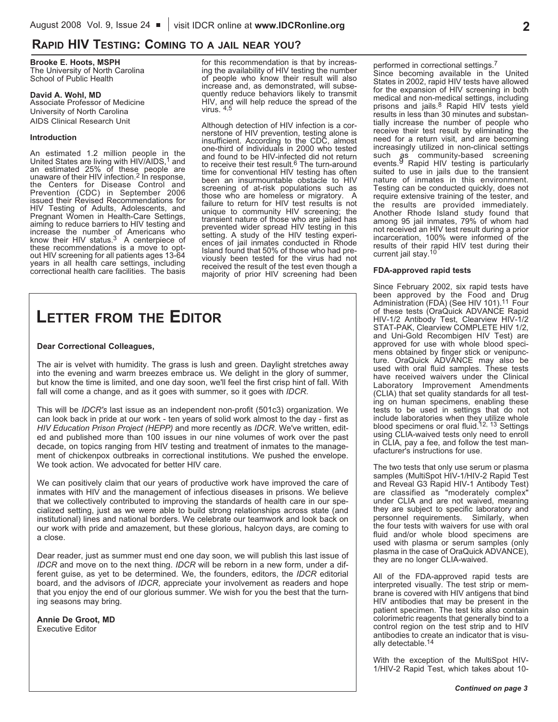## **RAPID HIV TESTING: COMING TO A JAIL NEAR YOU?**

#### **Brooke E. Hoots, MSPH** The University of North Carolina

School of Public Health

#### **David A. Wohl, MD**

Associate Professor of Medicine University of North Carolina AIDS Clinical Research Unit

#### **Introduction**

An estimated 1.2 million people in the United States are living with HIV/AIDS,<sup>1</sup> and an estimated 25% of these people are unaware of their HIV infection.<sup>2</sup> In response, the Centers for Disease Control and Prevention (CDC) in September 2006 issued their Revised Recommendations for HIV Testing of Adults, Adolescents, and<br>Pregnant Women in Health-Care Settings, aiming to reduce barriers to HIV testing and increase the number of Americans who know their HIV status.3 A centerpiece of these recommendations is <sup>a</sup> move to opt- out HIV screening for all patients ages 13-64 years in all health care settings, including correctional health care facilities. The basis for this recommendation is that by increas- ing the availability of HIV testing the number of people who know their result will also increase and, as demonstrated, will subsequently reduce behaviors likely to transmit HIV, and will help reduce the spread of the virus. 4,5

Although detection of HIV infection is <sup>a</sup> cor- nerstone of HIV prevention, testing alone is insufficient. According to the CDC, almost one-third of individuals in 2000 who tested and found to be HIV-infected did not return to receive their test result.<sup>6</sup> The turn-around time for conventional HIV testing has often been an insurmountable obstacle to HIV screening of at-risk populations such as those who are homeless or migratory. A failure to return for HIV test results is not unique to community HIV screening; the transient nature of those who are jailed has prevented wider spread HIV testing in this setting. A study of the HIV testing experiences of jail inmates conducted in Rhode Island found that 50% of those who had pre- viously been tested for the virus had not received the result of the test even though a majority of prior HIV screening had been

# **LETTER FROM THE EDITOR**

#### **Dear Correctional Colleagues,**

The air is velvet with humidity. The grass is lush and green. Daylight stretches away into the evening and warm breezes embrace us. We delight in the glory of summer, but know the time is limited, and one day soon, we'll feel the first crisp hint of fall. With fall will come a change, and as it goes with summer, so it goes with *IDCR*.

This will be *IDCR's* last issue as an independent non-profit (501c3) organization. We can look back in pride at our work - ten years of solid work almost to the day - first as *HIV Education Prison Project (HEPP)* and more recently as *IDCR*. We've written, edited and published more than 100 issues in our nine volumes of work over the past decade, on topics ranging from HIV testing and treatment of inmates to the management of chickenpox outbreaks in correctional institutions. We pushed the envelope. We took action. We advocated for better HIV care.

We can positively claim that our years of productive work have improved the care of inmates with HIV and the management of infectious diseases in prisons. We believe that we collectively contributed to improving the standards of health care in our specialized setting, just as we were able to build strong relationships across state (and institutional) lines and national borders. We celebrate our teamwork and look back on our work with pride and amazement, but these glorious, halcyon days, are coming to a close.

Dear reader, just as summer must end one day soon, we will publish this last issue of *IDCR* and move on to the next thing. *IDCR* will be reborn in a new form, under a different guise, as yet to be determined. We, the founders, editors, the *IDCR* editorial board, and the advisors of *IDCR*, appreciate your involvement as readers and hope that you enjoy the end of our glorious summer. We wish for you the best that the turning seasons may bring.

**Annie De Groot, MD** Executive Editor

performed in correctional settings.7 Since becoming available in the United States in 2002, rapid HIV tests have allowed for the expansion of HIV screening in both medical and non-medical settings, including prisons and jails.<sup>8</sup> Rapid HIV tests yield results in less than 30 minutes and substantially increase the number of people who receive their test result by eliminating the need for a return visit, and are becoming increasingly utilized in non-clinical settings such as community-based screening events.<sup>9</sup> Rapid HIV testing is particularly suited to use in jails due to the transient nature of inmates in this environment. Testing can be conducted quickly, does not require extensive training of the tester, and the results are provided immediately. Another Rhode Island study found that among 95 jail inmates, 79% of whom had not received an HIV test result during a prior incarceration, 100% were informed of the results of their rapid HIV test during their current jail stay.<sup>10</sup>

#### **FDA-approved rapid tests**

Since February 2002, six rapid tests have been approved by the Food and Drug Administration (FDA) (See HIV 101).<sup>11</sup> Four of these tests (OraQuick ADVANCE Rapid HIV-1/2 Antibody Test, Clearview HIV-1/2 STAT-PAK, Clearview COMPLETE HIV 1/2, and Uni-Gold Recombigen HIV Test) are approved for use with whole blood specimens obtained by finger stick or venipuncture. OraQuick ADVANCE may also be used with oral fluid samples. These tests have received waivers under the Clinical Laboratory Improvement Amendments (CLIA) that set quality standards for all testing on human specimens, enabling these tests to be used in settings that do not include laboratories when they utilize whole blood specimens or oral fluid.<sup>12, 13</sup> Settings using CLIA-waived tests only need to enroll in CLIA, pay a fee, and follow the test manufacturer's instructions for use.

The two tests that only use serum or plasma samples (MultiSpot HIV-1/HIV-2 Rapid Test and Reveal G3 Rapid HIV-1 Antibody Test) are classified as "moderately complex" under CLIA and are not waived, meaning they are subject to specific laboratory and personnel requirements. Similarly, when the four tests with waivers for use with oral fluid and/or whole blood specimens are used with plasma or serum samples (only plasma in the case of OraQuick ADVANCE), they are no longer CLIA-waived.

All of the FDA-approved rapid tests are interpreted visually. The test strip or membrane is covered with HIV antigens that bind HIV antibodies that may be present in the patient specimen. The test kits also contain colorimetric reagents that generally bind to a control region on the test strip and to HIV antibodies to create an indicator that is visually detectable.14

With the exception of the MultiSpot HIV-1/HIV-2 Rapid Test, which takes about 10-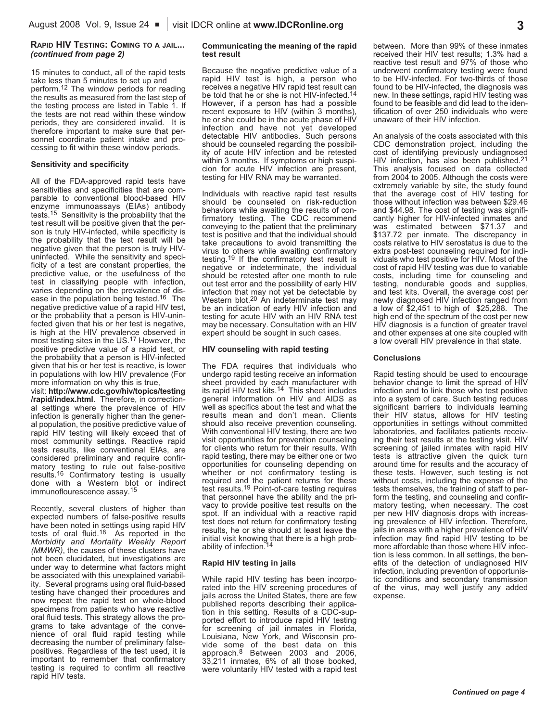#### **RAPID HIV TESTING: COMING TO A JAIL...** *(continued from page 2)*

15 minutes to conduct, all of the rapid tests take less than 5 minutes to set up and perform.12 The window periods for reading the results as measured from the last step of the testing process are listed in Table 1. If the tests are not read within these window periods, they are considered invalid. It is therefore important to make sure that personnel coordinate patient intake and processing to fit within these window periods.

#### **Sensitivity and specificity**

All of the FDA-approved rapid tests have sensitivities and specificities that are comparable to conventional blood-based HIV enzyme immunoassays (EIAs) antibody tests.15 Sensitivity is the probability that the test result will be positive given that the person is truly HIV-infected, while specificity is the probability that the test result will be negative given that the person is truly HIVuninfected. While the sensitivity and specificity of a test are constant properties, the predictive value, or the usefulness of the test in classifying people with infection, varies depending on the prevalence of disease in the population being tested.<sup>16</sup> The negative predictive value of a rapid HIV test, or the probability that a person is HIV-uninfected given that his or her test is negative, is high at the HIV prevalence observed in most testing sites in the US.17 However, the positive predictive value of a rapid test, or the probability that a person is HIV-infected given that his or her test is reactive, is lower in populations with low HIV prevalence (For more information on why this is true,

visit: **http://www.cdc.gov/hiv/topics/testing /rapid/index.html**. Therefore, in correctional settings where the prevalence of HIV infection is generally higher than the general population, the positive predictive value of rapid HIV testing will likely exceed that of most community settings. Reactive rapid tests results, like conventional EIAs, are considered preliminary and require confirmatory testing to rule out false-positive results.16 Confirmatory testing is usually done with a Western blot or indirect immunoflourescence assay.15

Recently, several clusters of higher than expected numbers of false-positive results have been noted in settings using rapid HIV tests of oral fluid.18 As reported in the *Morbidity and Mortality Weekly Report (MMWR)*, the causes of these clusters have not been elucidated, but investigations are under way to determine what factors might be associated with this unexplained variability. Several programs using oral fluid-based testing have changed their procedures and now repeat the rapid test on whole-blood specimens from patients who have reactive oral fluid tests. This strategy allows the programs to take advantage of the convenience of oral fluid rapid testing while decreasing the number of preliminary falsepositives. Regardless of the test used, it is important to remember that confirmatory testing is required to confirm all reactive rapid HIV tests.

#### **Communicating the meaning of the rapid test result**

Because the negative predictive value of a rapid HIV test is high, a person who receives a negative HIV rapid test result can be told that he or she is not HIV-infected.<sup>14</sup> However, if a person has had a possible recent exposure to HIV (within 3 months), he or she could be in the acute phase of HIV infection and have not yet developed detectable HIV antibodies. Such persons should be counseled regarding the possibility of acute HIV infection and be retested within 3 months. If symptoms or high suspicion for acute HIV infection are present, testing for HIV RNA may be warranted.

Individuals with reactive rapid test results should be counseled on risk-reduction behaviors while awaiting the results of confirmatory testing. The CDC recommend conveying to the patient that the preliminary test is positive and that the individual should take precautions to avoid transmitting the virus to others while awaiting confirmatory testing.19 If the confirmatory test result is negative or indeterminate, the individual should be retested after one month to rule out test error and the possibility of early HIV infection that may not yet be detectable by Western blot.<sup>20</sup> An indeterminate test may be an indication of early HIV infection and testing for acute HIV with an HIV RNA test may be necessary. Consultation with an HIV expert should be sought in such cases.

#### **HIV counseling with rapid testing**

The FDA requires that individuals who undergo rapid testing receive an information sheet provided by each manufacturer with its rapid HIV test kits.14 This sheet includes general information on HIV and AIDS as well as specifics about the test and what the results mean and don't mean. Clients should also receive prevention counseling. With conventional HIV testing, there are two visit opportunities for prevention counseling for clients who return for their results. With rapid testing, there may be either one or two opportunities for counseling depending on whether or not confirmatory testing is required and the patient returns for these test results.19 Point-of-care testing requires that personnel have the ability and the privacy to provide positive test results on the spot. If an individual with a reactive rapid test does not return for confirmatory testing results, he or she should at least leave the initial visit knowing that there is a high probability of infection.<sup>14</sup>

#### **Rapid HIV testing in jails**

While rapid HIV testing has been incorporated into the HIV screening procedures of jails across the United States, there are few published reports describing their application in this setting. Results of a CDC-supported effort to introduce rapid HIV testing for screening of jail inmates in Florida, Louisiana, New York, and Wisconsin provide some of the best data on this approach.8 Between 2003 and 2006, 33,211 inmates, 6% of all those booked, were voluntarily HIV tested with a rapid test

between. More than 99% of these inmates received their HIV test results; 1.3% had a reactive test result and 97% of those who underwent confirmatory testing were found to be HIV-infected. For two-thirds of those found to be HIV-infected, the diagnosis was new. In these settings, rapid HIV testing was found to be feasible and did lead to the identification of over 250 individuals who were unaware of their HIV infection.

An analysis of the costs associated with this CDC demonstration project, including the cost of identifying previously undiagnosed HIV infection, has also been published.<sup>21</sup> This analysis focused on data collected from 2004 to 2005. Although the costs were extremely variable by site, the study found that the average cost of HIV testing for those without infection was between \$29.46 and \$44.98. The cost of testing was significantly higher for HIV-infected inmates and was estimated between \$71.37 and \$137.72 per inmate. The discrepancy in costs relative to HIV serostatus is due to the extra post-test counseling required for individuals who test positive for HIV. Most of the cost of rapid HIV testing was due to variable costs, including time for counseling and testing, nondurable goods and supplies, and test kits. Overall, the average cost per newly diagnosed HIV infection ranged from a low of \$2,451 to high of \$25,288. The high end of the spectrum of the cost per new HIV diagnosis is a function of greater travel and other expenses at one site coupled with a low overall HIV prevalence in that state.

#### **Conclusions**

Rapid testing should be used to encourage behavior change to limit the spread of HIV infection and to link those who test positive into a system of care. Such testing reduces significant barriers to individuals learning their HIV status, allows for HIV testing opportunities in settings without committed laboratories, and facilitates patients receiving their test results at the testing visit. HIV screening of jailed inmates with rapid HIV tests is attractive given the quick turn around time for results and the accuracy of these tests. However, such testing is not without costs, including the expense of the tests themselves, the training of staff to perform the testing, and counseling and confirmatory testing, when necessary. The cost per new HIV diagnosis drops with increasing prevalence of HIV infection. Therefore, jails in areas with a higher prevalence of HIV infection may find rapid HIV testing to be more affordable than those where HIV infection is less common. In all settings, the benefits of the detection of undiagnosed HIV infection, including prevention of opportunistic conditions and secondary transmission of the virus, may well justify any added expense.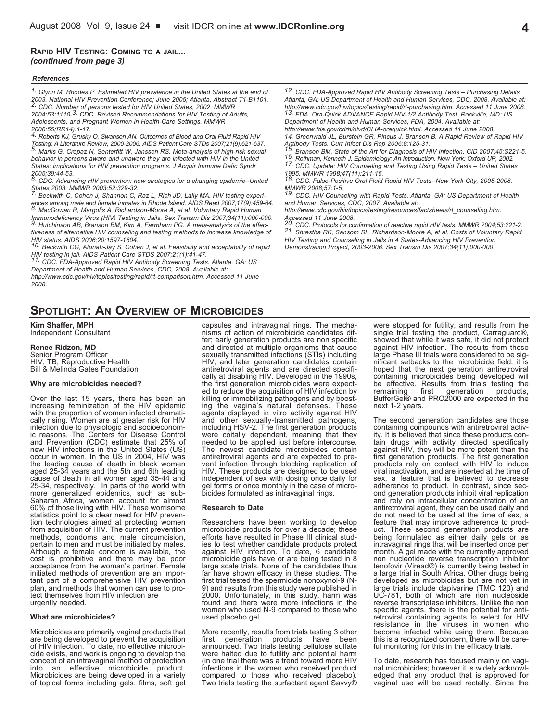#### **RAPID HIV TESTING: COMING TO A JAIL...** *(continued from page 3)*

#### *References*

*1. Glynn M, Rhodes P. Estimated HIV prevalence in the United States at the end of* 2. CDC. Number of persons tested for HIV United States, 2002. MMWR *2004;53:1110-3. CDC. Revised Recommendations for HIV Testing of Adults, Adolescents, and Pregnant Women in Health-Care Settings. MMWR*

*2006;55(RR14):1-17. 4. Roberts KJ, Grusky O, Swanson AN. Outcomes of Blood and Oral Fluid Rapid HIV* Testing: A Literature Review, 2000-2006. AIDS Patient Care STDs 2007;21(9):621-637.<br>5. Marks G, Crepaz N, Senterfitt W, Janssen RS. Meta-analysis of high-risk sexual *behavior in persons aware and unaware they are infected with HIV in the United States: implications for HIV prevention programs. J Acquir Immune Defic Syndr 2005;39:44-53. 6. CDC. Advancing HIV prevention: new strategies for <sup>a</sup> changing epidemic--United*

States 2003. MMWR 2003;52:329-32.<br>The Beckwith C, Cohen J, Shannon C, Raz L, Rich JD, Lally MA. HIV testing experiences among male and female inmates in Rhode Island. AIDS Read 2007:17(9):459-64.

8.<br>B. MacGowan R, Margolis A, Richardson-Moore A, et al. Voluntary Rapid Human<br>Immunodeficiency Virus (HIV) Testing in Jails. Sex Transm Dis 2007;34(11):000-000. 9. Hutchinson AB, Branson BM, Kim A, Farmham PG. A meta-analysis of the effec*tiveness of alternative HIV counseling and testing methods to increase knowledge of*

HIV status. AIDS 2006;20:1597-1604.<br>10. Beckwith CG, Atunah-Jay S, Cohen J, et al. Feasibility and acceptability of rapid

First and The State of State of the STDS 2007;21(1):41-47.<br>HIV testing in jail. AIDS Patient Care STDS 2007;21(1):41-47.<br><sup>11.</sup> CDC. FDA-Approved Rapid HIV Antibody Screening Tests. Atlanta, GA: US *Department of Health and Human Services, CDC, 2008. Available at:*

*http://www.cdc.gov/hiv/topics/testing/rapid/rt-comparison.htm. Accessed 11 June 2008.*

**SPOTLIGHT: AN OVERVIEW OF MICROBICIDES**

#### **Kim Shaffer, MPH**

Independent Consultant

#### **Renee Ridzon, MD**

Senior Program Officer<br>HIV, TB, Reproductive Health Bill & Melinda Gates Foundation

#### **Why are microbicides needed?**

Over the last 15 years, there has been an increasing feminization of the HIV epidemic with the proportion of women infected dramati- cally rising. Women are at greater risk for HIV infection due to physiologic and socioeco ic reasons. The Centers for Disease Control<br>and Prevention (CDC) estimate that 25% of<br>new HIV infections in the United States (US)<br>occur in women. In the US in 2004, HIV was<br>the leading cause of death in black women<br>aged 2 25-34, respectively. In parts of the world with more generalized epidemics, such as sub-<br>Saharan Africa, women account for almost 60% of those living with HIV. These worrisome statistics point to a clear need for HIV prevention technologies aimed at protecting women<br>from acquisition of HIV. The current prevention<br>methods, condoms and male circumcision,<br>pertain to men and must be initiated by mal

#### **What are microbicides?**

Microbicides are primarily vaginal products that<br>are being developed to prevent the acquisition<br>of HIV infection. To date, no effective microbi-<br>cide exists, and work is ongoing to develop the<br>concept of an intravaginal me

capsules and intravaginal rings. The mecha-<br>nisms of action of microbicide candidates dif-<br>fer; early generation products are non specific<br>and directed at multiple organisms that cause<br>sexually transmitted infections (STIs HIV, and later generation candidates contain<br>antiretroviral agents and are directed specifi-<br>cally at disabiling HIV. Developed in the 1990s,<br>the first generation microbicides were expect-<br>ed to reduce the acquisition of H ing the vagina's natural defenses. These<br>agents displayed in vitro activity against HIV<br>and other sexually-transmitted pathogens,<br>including HSV-2. The first generation products<br>were coitally dependent, meaning that they<br>ne HIV. These products are designed to be used independent of sex with dosing once daily for gel forms or once monthly in the case of micro-<br>bicides formulated as intravaginal rings.

#### **Research to Date**

Researchers have been working to develop<br>microbicide products for over a decade; these<br>efforts have resulted in Phase III clinical stud-<br>ies to test whether candidate products protect<br>against HIV infection. To date, 6 cand far have shown efficacy in these studies. The first trial tested the spermicide nonoxynol-9 (N-9) and results from this study were published in 2000. Unfortunately, in this study, harm was found and there were more infecti

More recently, results from trials testing 3 other<br>first generation products have been<br>announced. Two trials testing cellulose sulfate<br>were halted due to fullily and potential harm<br>(in one trial there was a trend toward mo compared to those who received placebo). Two trials testing the surfactant agent Savvy®

*12. CDC. FDA-Approved Rapid HIV Antibody Screening Tests – Purchasing Details. Atlanta, GA: US Department of Health and Human Services, CDC, 2008. Available at:* http://www.cdc.gov/hiv/topics/testing/rapid/rt-purchasing.htm. Accessed 11 June 2008.<br><sup>13.</sup> FDA. Ora-Quick ADVANCE Rapid HIV-1/2 Antibody Test. Rockville, MD: US *Department of Health and Human Services, FDA, 2004. Available at:*

*http://www.fda.gov/cdrh/oivd/CLIA-oraquick.html. Accessed 11 June 2008. 14. Greenwald JL, Burstein GR, Pincus J, Branson B. A Rapid Review of Rapid HIV*

Antibody Tests. Curr Infect Dis Rep 2006;8:125-31.<br>15. Branson BM. State of the Art for Diagnosis of HIV Infection. CID 2007;45:S221-5.<br>16. Rothman, Kenneth J. Epidemiology: An Introduction. New York: Oxford UP, 2002.<br>17.

*1995. MMWR 1998;47(11):211-15. 18. CDC. False-Positive Oral Fluid Rapid HIV Tests--New York City, 2005-2008.*

*MMWR 2008;57:1-5. 19. CDC. HIV Counseling with Rapid Tests. Atlanta, GA: US Department of Health and Human Services, CDC, 2007. Available at:*

*http://www.cdc.gov/hiv/topics/testing/resources/factsheets/rt\_counseling.htm.*

Accessed 11 June 2008.<br><sup>20.</sup> CDC. Protocols for confirmation of reactive rapid HIV tests. MMWR 2004;53:221-2.<br>21. Shrestha RK, Sansom SL, Richardson-Moore A, et al. Costs of Voluntary Rapid *HIV Testing and Counseling in Jails in 4 States-Advancing HIV Prevention Demonstration Project, 2003-2006. Sex Transm Dis 2007;34(11):000-000.*

> were stopped for futility, and results from the<br>single trial testing the product, Carraguard®,<br>showed that while it was safe, it did not protect<br>against HIV infection. The results from these<br>large Phase III trials were con remaining first generation products,<br>BufferGel® and PRO2000 are expected in the<br>next 1-2 years.

> The second generation candidates are those<br>containing compounds with antiretroviral activ-<br>ity. It is believed that since these products con-<br>tain drugs with activity directed specifically<br>against HIV, they will be more po feature that may improve adherence to product. These second generation products are being formulated as either daily gels or as intravaginal rings that will be inserted once per month. A gel made with the currently approve developed as microbicides but are not yet in large trials include dapivarine (TMC 120) and UC-781, both of which are non nucleoside reverse transcriptase inhibitors. Unlike the non specific agents, there is the potential for anti-<br>retroviral containing agents to select for HIV<br>resistance in the viruses in women who<br>become infected while using them. Because<br>this is a recognized concern, there will be

> To date, research has focused mainly on vagi-<br>nal microbicides; however it is widely acknowl-<br>edged that any product that is approved for<br>vaginal use will be used rectally. Since the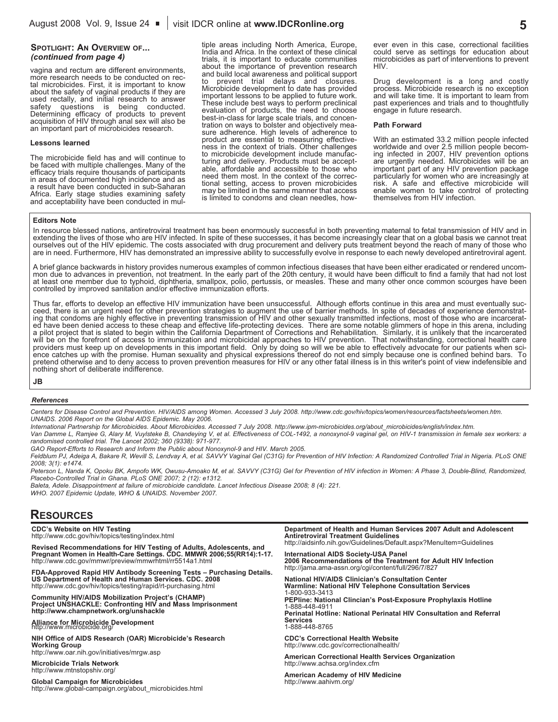#### **SPOTLIGHT: AN OVERVIEW OF...** *(continued from page 4)*

vagina and rectum are different environments,<br>more research needs to be conducted on rec-<br>tal microbicides. First, it is important to know<br>about the safety of vaginal products if they are<br>used rectally, and initial researc

#### **Lessons learned**

The microbicide field has and will continue to<br>be faced with multiple challenges. Many of the<br>efficacy trials require thousands of participants<br>in areas of documented high incidence and as<br>result have been conducted in sub

tiple areas including North America, Europe, India and Africa. In the context of these clinical trials, it is important to educate communities trials, it is important to educate communities<br>about the importance of prevention research<br>and build local awareness and political support to prevent trial delays and closures. Microbicide development to date has provided important lessons to be applied to future work.<br>These include best ways to perform preclinical<br>evaluation of products, the need to choose-<br>tration on ways to bolster and objectively mea-<br>tration on ways to bolster and obje

ever even in this case, correctional facilities could serve as settings for education about microbicides as part of interventions to prevent HIV.

Drug development is a long and costly<br>process. Microbicide research is no exception and will take time. It is important to learn from<br>past experiences and trials and to thoughtfully<br>engage in future research.

#### **Path Forward**

With an estimated 33.2 million people infected<br>worldwide and over 2.5 million people becom-<br>ing infected in 2007, HIV prevention options<br>are urgently needed. Microbicides will be an<br>important part of any HIV prevention pac themselves from the record of protecting<br>themselves from HIV infection.

#### **Editors Note**

In resource blessed nations, antiretroviral treatment has been enormously successful in both preventing maternal to fetal transmission of HIV and in extending the lives of those who are HIV infected. In spite of these succ

A brief glance backwards in history provides numerous examples of common infectious diseases that have been either eradicated or rendered uncom-<br>mon due to advances in prevention, not treatment. In the early part of the 20

Thus far, efforts to develop an effective HIV immunization have been unsuccessful. Although efforts continue in this area and must eventually succeed, there is an urgent need for other prevention strategies to augment the

**JB**

#### *References*

Centers for Disease Control and Prevention. HIV/AIDS among Women. Accessed 3 July 2008. http://www.cdc.gov/hiv/topics/women/resources/factsheets/women.htm. *UNAIDS. 2006 Report on the Global AIDS Epidemic. May 2006.*

International Partnership for Microbicides. About Microbicides. Accessed 7 July 2008. http://www.ipm-microbicides.org/about microbicides/english/index.htm.

Van Damme L, Ramjee G, Alary M, Vuylsteke B, Chandeying V, et al. Effectiveness of COL-1492, a nonoxynol-9 vaginal gel, on HIV-1 transmission in female sex workers: a *randomised controlled trial. The Lancet 2002; 360 (9338): 971-977.*

*GAO Report-Efforts to Research and Inform the Public about Nonoxynol-9 and HIV. March 2005.*

Feldblum PJ, Adeiga A, Bakare R, Wevill S, Lendvay A, et al. SAVVY Vaginal Gel (C31G) for Prevention of HIV Infection: A Randomized Controlled Trial in Nigeria. PLoS ONE *2008; 3(1): e1474.*

Peterson L, Nanda K, Opoku BK, Ampofo WK, Owusu-Amoako M, et al. SAVVY (C31G) Gel for Prevention of HIV infection in Women: A Phase 3, Double-Blind, Randomized, *Placebo-Controlled Trial in Ghana. PLoS ONE 2007; 2 (12): e1312.*

*Baleta, Adele. Disappointment at failure of microbicide candidate. Lancet Infectious Disease 2008; 8 (4): 221.*

*WHO. 2007 Epidemic Update, WHO & UNAIDS. November 2007.*

## **RESOURCES**

**CDC's Website on HIV Testing** http://www.cdc.gov/hiv/topics/testing/index.html

Revised Recommendations for HIV Testing of Adults, Adolescents, and<br>Pregnant Women in Health-Care Settings. CDC. MMWR 2006;55(RR14):1-17.<br>http://www.cdc.gov/mmwr/preview/mmwrhtml/rr5514a1.html

**FDA-Approved Rapid HIV Antibody Screening Tests – Purchasing Details. US Department of Health and Human Services. CDC. 2008** http://www.cdc.gov/hiv/topics/testing/rapid/rt-purchasing.html

**Community HIV/AIDS Mobilization Project's (CHAMP) Project UNSHACKLE: Confronting HIV and Mass Imprisonment http://www.champnetwork.org/unshackle**

## **Alliance for Microbicide Development** http://www.microbicide.org/

**NIH Office of AIDS Research (OAR) Microbicide's Research Working Group** http://www.oar.nih.gov/initiatives/mrgw.asp

**Microbicide Trials Network** http://www.mtnstopshiv.org/

**Global Campaign for Microbicides** http://www.global-campaign.org/about\_microbicides.html

**Department of Health and Human Services 2007 Adult and Adolescent**

**Antiretroviral Treatment Guidelines** http://aidsinfo.nih.gov/Guidelines/Default.aspx?MenuItem=Guidelines

**International AIDS Society-USA Panel 2006 Recommendations of the Treatment for Adult HIV Infection** http://jama.ama-assn.org/cgi/content/full/296/7/827

**National HIV/AIDS Clinician's Consultation Center Warmline: National HIV Telephone Consultation Services** 1-800-933-3413 **PEPline: National Clincian's Post-Exposure Prophylaxis Hotline** 1-888-448-4911 **Perinatal Hotline: National Perinatal HIV Consultation and Referral Services** 1-888-448-8765

**CDC's Correctional Health Website** http://www.cdc.gov/correctionalhealth/

**American Correctional Health Services Organization** http://www.achsa.org/index.cfm

**American Academy of HIV Medicine** http://www.aahivm.org/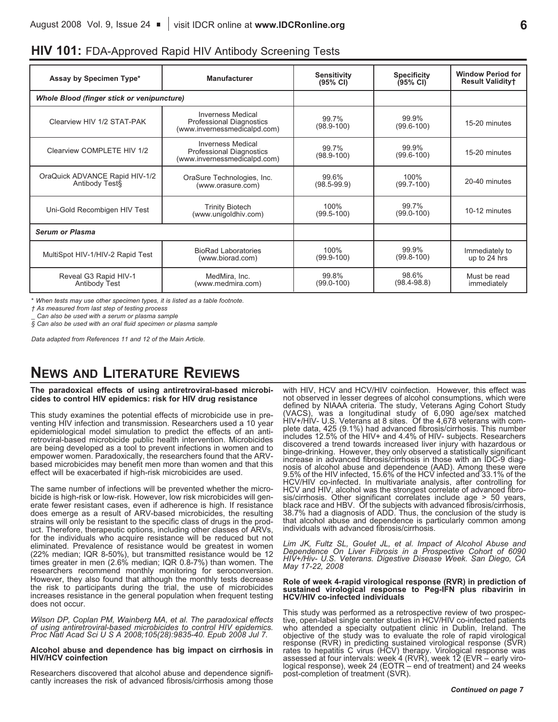| Assay by Specimen Type*                                                                             | <b>Manufacturer</b>                                                                         | <b>Sensitivity</b><br>$(95% \text{ CI})$ | <b>Specificity</b><br>(95% CI) | <b>Window Period for</b><br><b>Result Validityt</b> |
|-----------------------------------------------------------------------------------------------------|---------------------------------------------------------------------------------------------|------------------------------------------|--------------------------------|-----------------------------------------------------|
| <b>Whole Blood (finger stick or venipuncture)</b>                                                   |                                                                                             |                                          |                                |                                                     |
| Clearview HIV 1/2 STAT-PAK                                                                          | <b>Inverness Medical</b><br><b>Professional Diagnostics</b><br>(www.invernessmedicalpd.com) | 99.7%<br>$(98.9 - 100)$                  | 99.9%<br>$(99.6 - 100)$        | 15-20 minutes                                       |
| Clearview COMPLETE HIV 1/2                                                                          | <b>Inverness Medical</b><br>Professional Diagnostics<br>(www.invernessmedicalpd.com)        |                                          | 99.9%<br>$(99.6 - 100)$        | 15-20 minutes                                       |
| OraQuick ADVANCE Rapid HIV-1/2<br>OraSure Technologies, Inc.<br>Antibody Test§<br>(www.orasure.com) |                                                                                             | 99.6%<br>$(98.5 - 99.9)$                 | 100%<br>$(99.7 - 100)$         | 20-40 minutes                                       |
| <b>Trinity Biotech</b><br>Uni-Gold Recombigen HIV Test<br>(www.unigoldhiv.com)                      |                                                                                             | 100%<br>$(99.5 - 100)$                   | 99.7%<br>$(99.0 - 100)$        | 10-12 minutes                                       |
| <b>Serum or Plasma</b>                                                                              |                                                                                             |                                          |                                |                                                     |
| MultiSpot HIV-1/HIV-2 Rapid Test                                                                    | <b>BioRad Laboratories</b><br>(www.biorad.com)                                              | 100%<br>$(99.9 - 100)$                   | 99.9%<br>$(99.8 - 100)$        | Immediately to<br>up to 24 hrs                      |
| Reveal G3 Rapid HIV-1<br>MedMira, Inc.<br>(www.medmira.com)<br><b>Antibody Test</b>                 |                                                                                             | 99.8%<br>$(99.0 - 100)$                  | 98.6%<br>$(98.4 - 98.8)$       | Must be read<br>immediately                         |

## **HIV 101:** FDA-Approved Rapid HIV Antibody Screening Tests

*\* When tests may use other specimen types, it is listed as a table footnote.*

*† As measured from last step of testing process*

*\_ Can also be used with a serum or plasma sample*

*§ Can also be used with an oral fluid specimen or plasma sample*

*Data adapted from References 11 and 12 of the Main Article.*

# **NEWS AND LITERATURE REVIEWS**

#### **The paradoxical effects of using antiretroviral-based microbicides to control HIV epidemics: risk for HIV drug resistance**

This study examines the potential effects of microbicide use in preventing HIV infection and transmission. Researchers used a 10 year epidemiological model simulation to predict the effects of an antiretroviral-based microbicide public health intervention. Microbicides are being developed as a tool to prevent infections in women and to empower women. Paradoxically, the researchers found that the ARVbased microbicides may benefit men more than women and that this effect will be exacerbated if high-risk microbicides are used.

The same number of infections will be prevented whether the microbicide is high-risk or low-risk. However, low risk microbicides will generate fewer resistant cases, even if adherence is high. If resistance does emerge as a result of ARV-based microbicides, the resulting strains will only be resistant to the specific class of drugs in the product. Therefore, therapeutic options, including other classes of ARVs, for the individuals who acquire resistance will be reduced but not eliminated. Prevalence of resistance would be greatest in women (22% median; IQR 8-50%), but transmitted resistance would be 12 times greater in men (2.6% median; IQR 0.8-7%) than women. The researchers recommend monthly monitoring for seroconversion. However, they also found that although the monthly tests decrease the risk to participants during the trial, the use of microbicides increases resistance in the general population when frequent testing does not occur.

*Wilson DP, Coplan PM, Wainberg MA, et al. The paradoxical effects* Proc Natl Acad Sci U S A 2008;105(28):9835-40. Epub 2008 Jul 7.

#### **Alcohol abuse and dependence has big impact on cirrhosis in HIV/HCV coinfection**

Researchers discovered that alcohol abuse and dependence signifi- cantly increases the risk of advanced fibrosis/cirrhosis among those

with HIV, HCV and HCV/HIV coinfection. However, this effect was not observed in lesser degrees of alcohol consumptions, which were defined by NIAAA criteria. The study, Veterans Aging Cohort Study (VACS), was a longitudinal study of 6,090 age/sex matched HIV+/HIV- U.S. Veterans at <sup>8</sup> sites. Of the 4,678 veterans with com- plete data, <sup>425</sup> (9.1%) had advanced fibrosis/cirrhosis. This number includes 12.5% of the HIV+ and 4.4% of HIV- subjects. Researchers discovered a trend towards increased liver injury with hazardous or binge-drinking. However, they only observed a statistically significant increase in advanced fibrosis/cirrhosis in those with an IDC-9 diagincrease in advanced fibrosis/cirrhosis in those with an IDC-9 diag- nosis of alcohol abuse and dependence (AAD). Among these were 9.5% of the HIV infected, 15.6% of the HCV infected and 33.1% of the HCV/HIV co-infected. In multivariate analysis, after controlling for sis/cirrhosis. Other significant correlates include age  $>$  50 years,<br>black race and HBV. Of the subjects with advanced fibrosis/cirrhosis,<br>38.7% had a diagnosis of ADD. Thus, the conclusion of the study is that alcohol abuse and dependence is particularly common among individuals with advanced fibrosis/cirrhosis.

*Lim JK, Fultz SL, Goulet JL, et al. Impact of Alcohol Abuse and Dependence On Liver Fibrosis in a Prospective Cohort of 6090 HIV+/Hiv- U.S. Veterans. Digestive Disease Week. San Diego, CA May 17-22, 2008*

#### **Role of week 4-rapid virological response (RVR) in prediction of sustained virological response to Peg-IFN plus ribavirin in HCV/HIV co-infected individuals**

This study was performed as <sup>a</sup> retrospective review of two prospec- tive, open-label single center studies in HCV/HIV co-infected patients who attended a specialty outpatient clinic in Dublin, Ireland. The objective of the study was to evaluate the role of rapid virological response (RVR) in predicting sustained virological response (SVR) rates to hepatitis C virus (HCV) therapy. Virological response was assessed at four intervals: week 4 (RVR), week 12 (EVR – early viro-<br>logical response), week 24 (EOTR – end of treatment) and 24 weeks post-completion of treatment (SVR).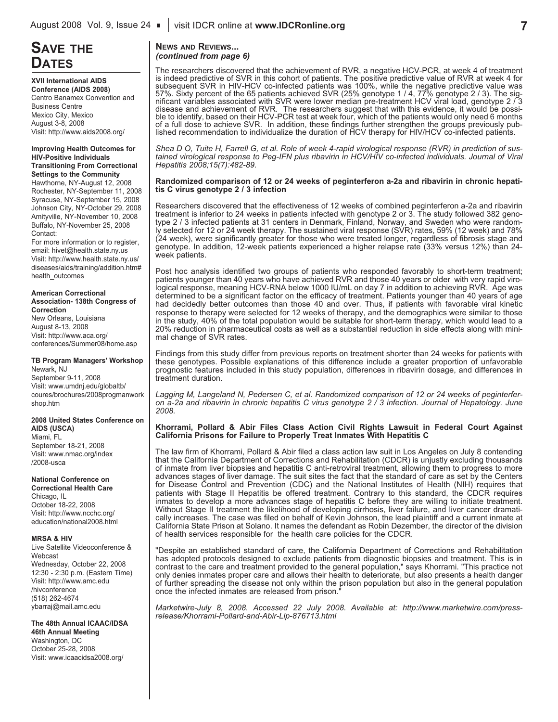# **SAVE THE**

**XVII International AIDS Conference (AIDS 2008)** Centro Banamex Convention and Business Centre Mexico City, Mexico August 3-8, 2008 Visit: http://www.aids2008.org/

#### **Improving Health Outcomes for HIV-Positive Individuals Transitioning From Correctional Settings to the Community**

Hawthorne, NY-August 12, 2008 Rochester, NY-September 11, 2008 Syracuse, NY-September 15, 2008 Johnson City, NY-October 29, 2008 Amityville, NY-November 10, 2008 Buffalo, NY-November 25, 2008 Contact:

For more information or to register, email: hivet@health.state.ny.us Visit: http://www.health.state.ny.us/ diseases/aids/training/addition.htm# health\_outcomes

#### **American Correctional**

**Association- 138th Congress of Correction** New Orleans, Louisiana August 8-13, 2008 Visit: http://www.aca.org/ conferences/Summer08/home.asp

#### **TB Program Managers' Workshop** Newark, NJ

September 9-11, 2008 Visit: www.umdnj.edu/globaltb/ coures/brochures/2008progmanwork shop.htm

## **2008 United States Conference on**

**AIDS (USCA)** Miami, FL September 18-21, 2008 Visit: www.nmac.org/index /2008-usca

## **National Conference on**

**Correctional Health Care** Chicago, IL October 18-22, 2008 Visit: http://www.ncchc.org/ education/national2008.html

#### **MRSA & HIV**

Live Satellite Videoconference & Webcast Wednesday, October 22, 2008 12:30 - 2:30 p.m. (Eastern Time) Visit: http://www.amc.edu /hivconference (518) 262-4674 ybarraj@mail.amc.edu

**The 48th Annual ICAAC/IDSA 46th Annual Meeting** Washington, DC

October 25-28, 2008 Visit: www.icaacidsa2008.org/

#### **NEWS AND REVIEWS...** *(continued from page 6)*

The researchers discovered that the achievement of RVR, a negative HCV-PCR, at week 4 of treatment is indeed predictive of SVR in this cohort of patients. The positive predictive value of RVR at week 4 for subsequent SVR in HIV-HCV co-infected patients was 100%, while the negative predictive value was 57%. Sixty percent of the 65 patients achieved SVR (25% genotype 1 / 4, 77% genotype 2 / 3). The sig-<br>nificant variables associated with SVR were lower median pre-treatment HCV viral load, genotype 2 / 3 disease and achievement of RVR. The researchers suggest that with this evidence, it would be possi-<br>ble to identify, based on their HCV-PCR test at week four, which of the patients would only need 6 months of <sup>a</sup> full dose to achieve SVR. In addition, these findings further strengthen the groups previously pub- lished recommendation to individualize the duration of HCV therapy for HIV/HCV co-infected patients.

Shea D O, Tuite H, Farrell G, et al. Role of week 4-rapid virological response (RVR) in prediction of sus*tained virological response to Peg-IFN plus ribavirin in HCV/HIV co-infected individuals. Journal of Viral Hepatitis 2008;15(7):482-89.*

#### **Randomized comparison of 12 or 24 weeks of peginterferon a-2a and ribavirin in chronic hepatitis C virus genotype 2 / 3 infection**

Researchers discovered that the effectiveness of 12 weeks of combined peginterferon a-2a and ribavirin treatment is inferior to 24 weeks in patients infected with genotype 2 or 3. The study followed 382 genotype 2 / 3 infected patients at 31 centers in Denmark, Finland, Norway, and Sweden who were randomly selected for 12 or 24 week therapy. The sustained viral response (SVR) rates, 59% (12 week) and 78% (24 week), were significantly greater for those who were treated longer, regardless of fibrosis stage and genotype. In addition, 12-week patients experienced a higher relapse rate (33% versus 12%) than 24 week patients.

Post hoc analysis identified two groups of patients who responded favorably to short-term treatment; patients younger than 40 years who have achieved RVR and those 40 years or older with very rapid virological response, meaning HCV-RNA below 1000 IU/mL on day 7 in addition to achieving RVR. Age was determined to be a significant factor on the efficacy of treatment. Patients younger than 40 years of age had decidedly better outcomes than those 40 and over. Thus, if patients with favorable viral kinetic response to therapy were selected for 12 weeks of therapy, and the demographics were similar to those in the study, 40% of the total population would be suitable for short-term therapy, which would lead to a 20% reduction in pharmaceutical costs as well as a substantial reduction in side effects along with minimal change of SVR rates.

Findings from this study differ from previous reports on treatment shorter than 24 weeks for patients with these genotypes. Possible explanations of this difference include a greater proportion of unfavorable prognostic features included in this study population, differences in ribavirin dosage, and differences in treatment duration.

*Lagging M, Langeland N, Pedersen C, et al. Randomized comparison of 12 or 24 weeks of peginterfer*on a-2a and ribavirin in chronic hepatitis C virus genotype 2 / 3 infection. Journal of Hepatology. June *2008.*

#### **Khorrami, Pollard & Abir Files Class Action Civil Rights Lawsuit in Federal Court Against California Prisons for Failure to Properly Treat Inmates With Hepatitis C**

The law firm of Khorrami, Pollard & Abir filed a class action law suit in Los Angeles on July 8 contending that the California Department of Corrections and Rehabilitation (CDCR) is unjustly excluding thousands of inmate from liver biopsies and hepatitis C anti-retroviral treatment, allowing them to progress to more advances stages of liver damage. The suit sites the fact that the standard of care as set by the Centers for Disease Control and Prevention (CDC) and the National Institutes of Health (NIH) requires that patients with Stage II Hepatitis be offered treatment. Contrary to this standard, the CDCR requires inmates to develop a more advances stage of hepatitis C before they are willing to initiate treatment. Without Stage II treatment the likelihood of developing cirrhosis, liver failure, and liver cancer dramatically increases. The case was filed on behalf of Kevin Johnson, the lead plaintiff and a current inmate at California State Prison at Solano. It names the defendant as Robin Dezember, the director of the division of health services responsible for the health care policies for the CDCR.

"Despite an established standard of care, the California Department of Corrections and Rehabilitation has adopted protocols designed to exclude patients from diagnostic biopsies and treatment. This is in contrast to the care and treatment provided to the general population," says Khorrami. "This practice not only denies inmates proper care and allows their health to deteriorate, but also presents a health danger of further spreading the disease not only within the prison population but also in the general population once the infected inmates are released from prison.

*Marketwire-July 8, 2008. Accessed 22 July 2008. Available at: http://www.marketwire.com/pressrelease/Khorrami-Pollard-and-Abir-Llp-876713.html*